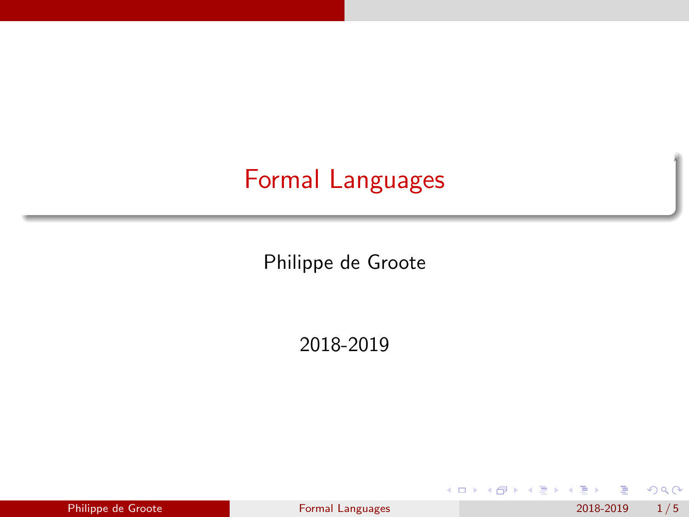## <span id="page-0-0"></span>Formal Languages

Philippe de Groote

2018-2019

| Philippe de Groote |  |
|--------------------|--|

**← ロ → → 何** 

э Philippe de Groote [Formal Languages](#page-4-0) 2018-2019 1/5

化重新润滑脂

 $299$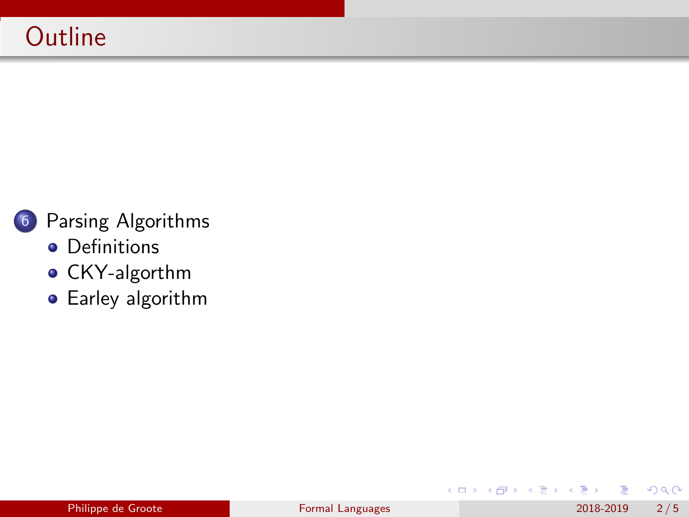

#### 6 [Parsing Algorithms](#page-2-0)

- **•** [Definitions](#page-2-0)
- [CKY-algorthm](#page-3-0)
- **•** [Earley algorithm](#page-4-0)

 $299$ 

 $\mathbf{A} \equiv \mathbf{A} \times \mathbf{A} \equiv \mathbf{A}$ 

**← ロ → → ← 何 →**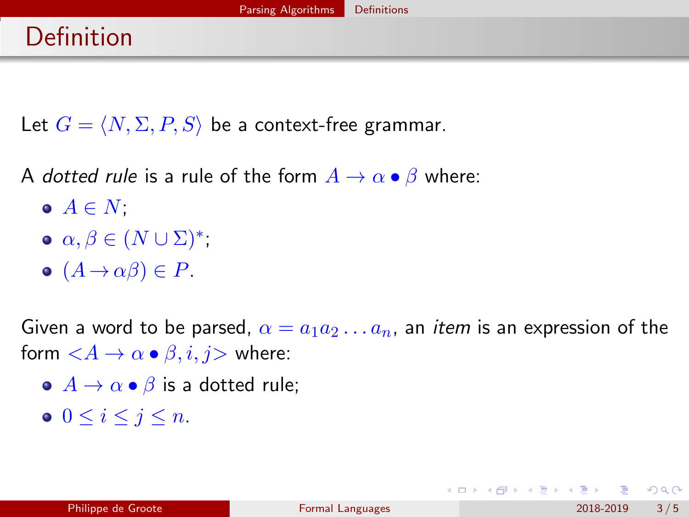### <span id="page-2-0"></span>Definition

Let  $G = \langle N, \Sigma, P, S \rangle$  be a context-free grammar.

A dotted rule is a rule of the form  $A \to \alpha \bullet \beta$  where:

- $\bullet$   $A \in N$ ;
- $\alpha, \beta \in (N \cup \Sigma)^*$ ;
- $(A \rightarrow \alpha \beta) \in P$ .

Given a word to be parsed,  $\alpha = a_1 a_2 \ldots a_n$ , an *item* is an expression of the form  $\langle A \rightarrow \alpha \bullet \beta, i, j \rangle$  where:

- $\bullet$   $A \rightarrow \alpha \bullet \beta$  is a dotted rule;
- $0 \leq i \leq j \leq n$ .

 $QQQ$ 

지갑 시간에게 지금 시작을 지고 말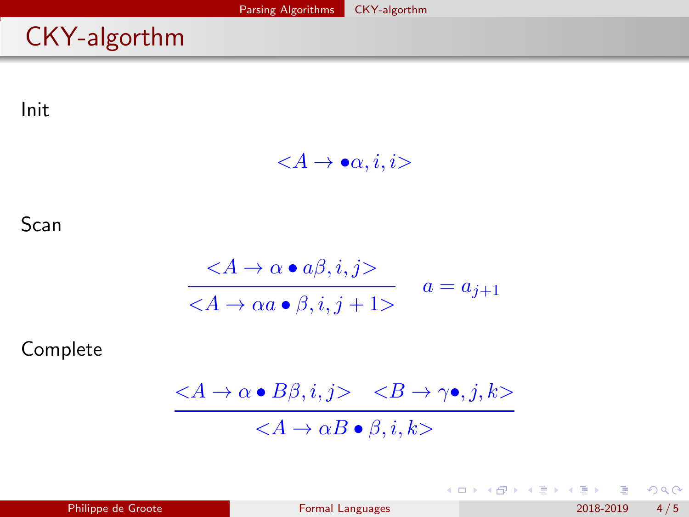# <span id="page-3-0"></span>CKY-algorthm

Init

$$
\langle A \to \bullet \alpha, i, i \rangle
$$

Scan

$$
\frac{}{} \quad a = a\\_{j+1}
$$

Complete

$$
\frac{\quad }{}
$$

 $299$ 

イロト イ部 トイモ トイモト